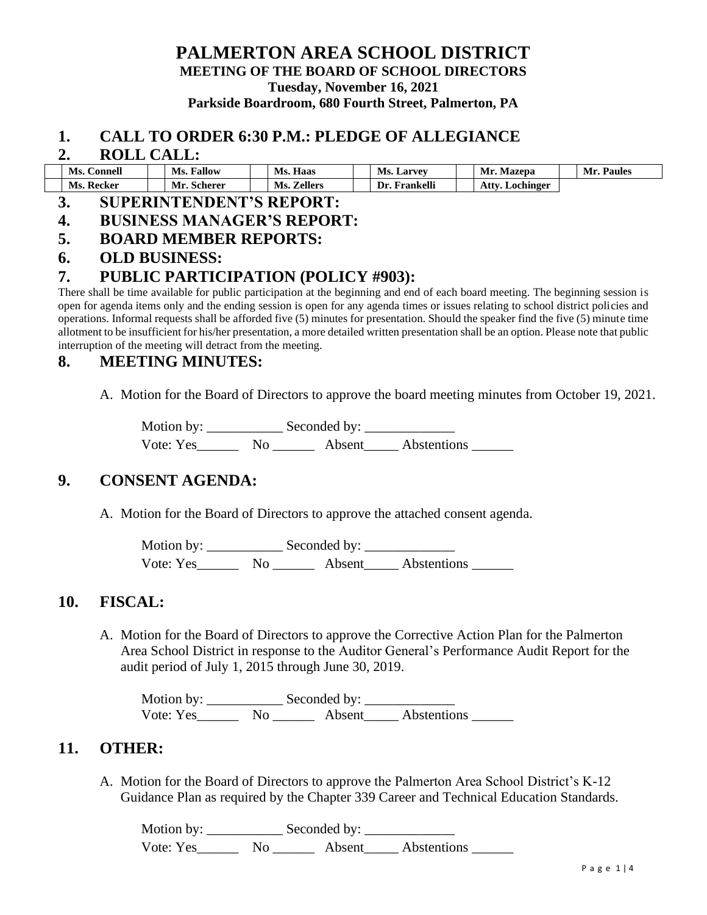### **PALMERTON AREA SCHOOL DISTRICT MEETING OF THE BOARD OF SCHOOL DIRECTORS Tuesday, November 16, 2021 Parkside Boardroom, 680 Fourth Street, Palmerton, PA**

#### **1. CALL TO ORDER 6:30 P.M.: PLEDGE OF ALLEGIANCE**

#### **2. ROLL CALL:**

| Ms.<br>$\mathsf{\sim}$ onnell | <b>Fallow</b><br>Ms. | Haas<br>Ms.           | Ms.<br>. Larvey  | Mr.<br>Mazepa     | Paules<br>Mr. |  |
|-------------------------------|----------------------|-----------------------|------------------|-------------------|---------------|--|
| Ms.<br>Recker                 | Mr<br><b>Scherer</b> | Ms.<br><b>Zellers</b> | Frankelli<br>Dr. | Atty<br>Lochinger |               |  |

## **3. SUPERINTENDENT'S REPORT:**

### **4. BUSINESS MANAGER'S REPORT:**

**5. BOARD MEMBER REPORTS:**

#### **6. OLD BUSINESS:**

## **7. PUBLIC PARTICIPATION (POLICY #903):**

There shall be time available for public participation at the beginning and end of each board meeting. The beginning session is open for agenda items only and the ending session is open for any agenda times or issues relating to school district policies and operations. Informal requests shall be afforded five (5) minutes for presentation. Should the speaker find the five (5) minute time allotment to be insufficient for his/her presentation, a more detailed written presentation shall be an option. Please note that public interruption of the meeting will detract from the meeting.

## **8. MEETING MINUTES:**

A. Motion for the Board of Directors to approve the board meeting minutes from October 19, 2021.

Motion by: \_\_\_\_\_\_\_\_\_\_\_ Seconded by: \_\_\_\_\_\_\_\_\_\_\_\_\_ Vote: Yes\_\_\_\_\_\_\_\_ No \_\_\_\_\_\_\_\_ Absent\_\_\_\_\_ Abstentions \_\_\_\_\_\_\_

## **9. CONSENT AGENDA:**

A. Motion for the Board of Directors to approve the attached consent agenda.

Motion by: \_\_\_\_\_\_\_\_\_\_\_ Seconded by: \_\_\_\_\_\_\_\_\_\_\_\_\_ Vote: Yes\_\_\_\_\_\_ No \_\_\_\_\_\_ Absent\_\_\_\_\_ Abstentions \_\_\_\_\_\_

## **10. FISCAL:**

A. Motion for the Board of Directors to approve the Corrective Action Plan for the Palmerton Area School District in response to the Auditor General's Performance Audit Report for the audit period of July 1, 2015 through June 30, 2019.

Motion by: \_\_\_\_\_\_\_\_\_\_\_ Seconded by: \_\_\_\_\_\_\_\_\_\_\_\_\_ Vote: Yes\_\_\_\_\_\_\_\_ No \_\_\_\_\_\_\_\_ Absent\_\_\_\_\_\_ Abstentions \_\_\_\_\_\_\_

## **11. OTHER:**

A. Motion for the Board of Directors to approve the Palmerton Area School District's K-12 Guidance Plan as required by the Chapter 339 Career and Technical Education Standards.

Motion by: \_\_\_\_\_\_\_\_\_\_\_ Seconded by: \_\_\_\_\_\_\_\_\_\_\_\_\_ Vote: Yes\_\_\_\_\_\_\_\_ No \_\_\_\_\_\_\_\_ Absent\_\_\_\_\_\_ Abstentions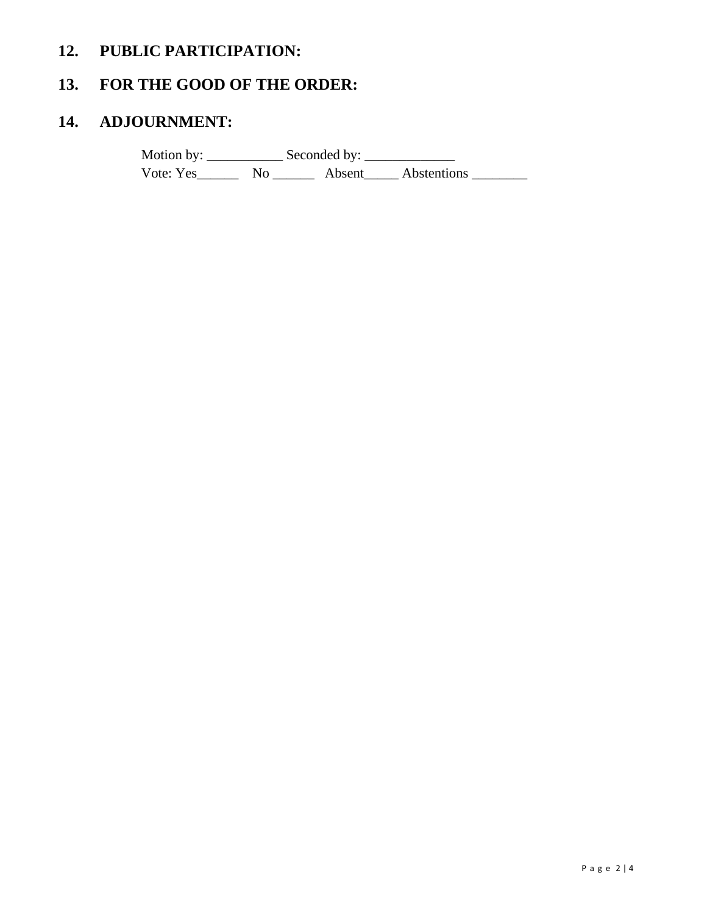# **12. PUBLIC PARTICIPATION:**

# **13. FOR THE GOOD OF THE ORDER:**

# **14. ADJOURNMENT:**

Motion by: \_\_\_\_\_\_\_\_\_\_\_ Seconded by: \_\_\_\_\_\_\_\_\_\_\_\_\_ Vote: Yes\_\_\_\_\_\_\_\_\_ No \_\_\_\_\_\_\_\_\_ Absent\_\_\_\_\_\_ Abstentions \_\_\_\_\_\_\_\_\_\_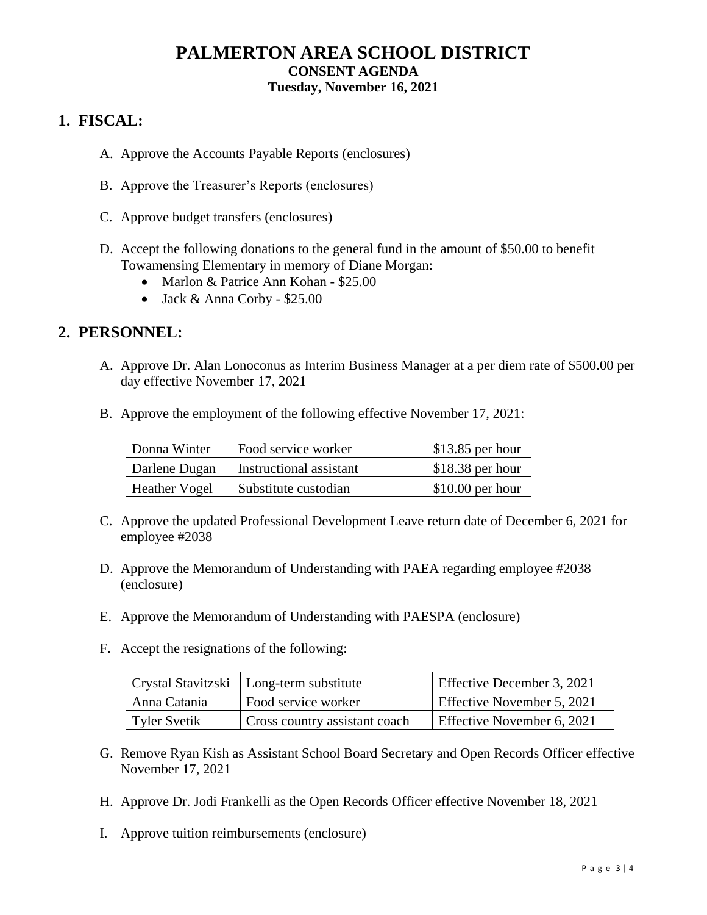## **PALMERTON AREA SCHOOL DISTRICT CONSENT AGENDA Tuesday, November 16, 2021**

# **1. FISCAL:**

- A. Approve the Accounts Payable Reports (enclosures)
- B. Approve the Treasurer's Reports (enclosures)
- C. Approve budget transfers (enclosures)
- D. Accept the following donations to the general fund in the amount of \$50.00 to benefit Towamensing Elementary in memory of Diane Morgan:
	- Marlon & Patrice Ann Kohan \$25.00
	- Jack & Anna Corby \$25.00

## **2. PERSONNEL:**

- A. Approve Dr. Alan Lonoconus as Interim Business Manager at a per diem rate of \$500.00 per day effective November 17, 2021
- B. Approve the employment of the following effective November 17, 2021:

| Donna Winter         | Food service worker     | $$13.85$ per hour |
|----------------------|-------------------------|-------------------|
| Darlene Dugan        | Instructional assistant | $$18.38$ per hour |
| <b>Heather Vogel</b> | Substitute custodian    | $$10.00$ per hour |

- C. Approve the updated Professional Development Leave return date of December 6, 2021 for employee #2038
- D. Approve the Memorandum of Understanding with PAEA regarding employee #2038 (enclosure)
- E. Approve the Memorandum of Understanding with PAESPA (enclosure)
- F. Accept the resignations of the following:

|              | Crystal Stavitzski   Long-term substitute | Effective December 3, 2021 |
|--------------|-------------------------------------------|----------------------------|
| Anna Catania | <b>Food service worker</b>                | Effective November 5, 2021 |
| Tyler Svetik | Cross country assistant coach             | Effective November 6, 2021 |

- G. Remove Ryan Kish as Assistant School Board Secretary and Open Records Officer effective November 17, 2021
- H. Approve Dr. Jodi Frankelli as the Open Records Officer effective November 18, 2021
- I. Approve tuition reimbursements (enclosure)